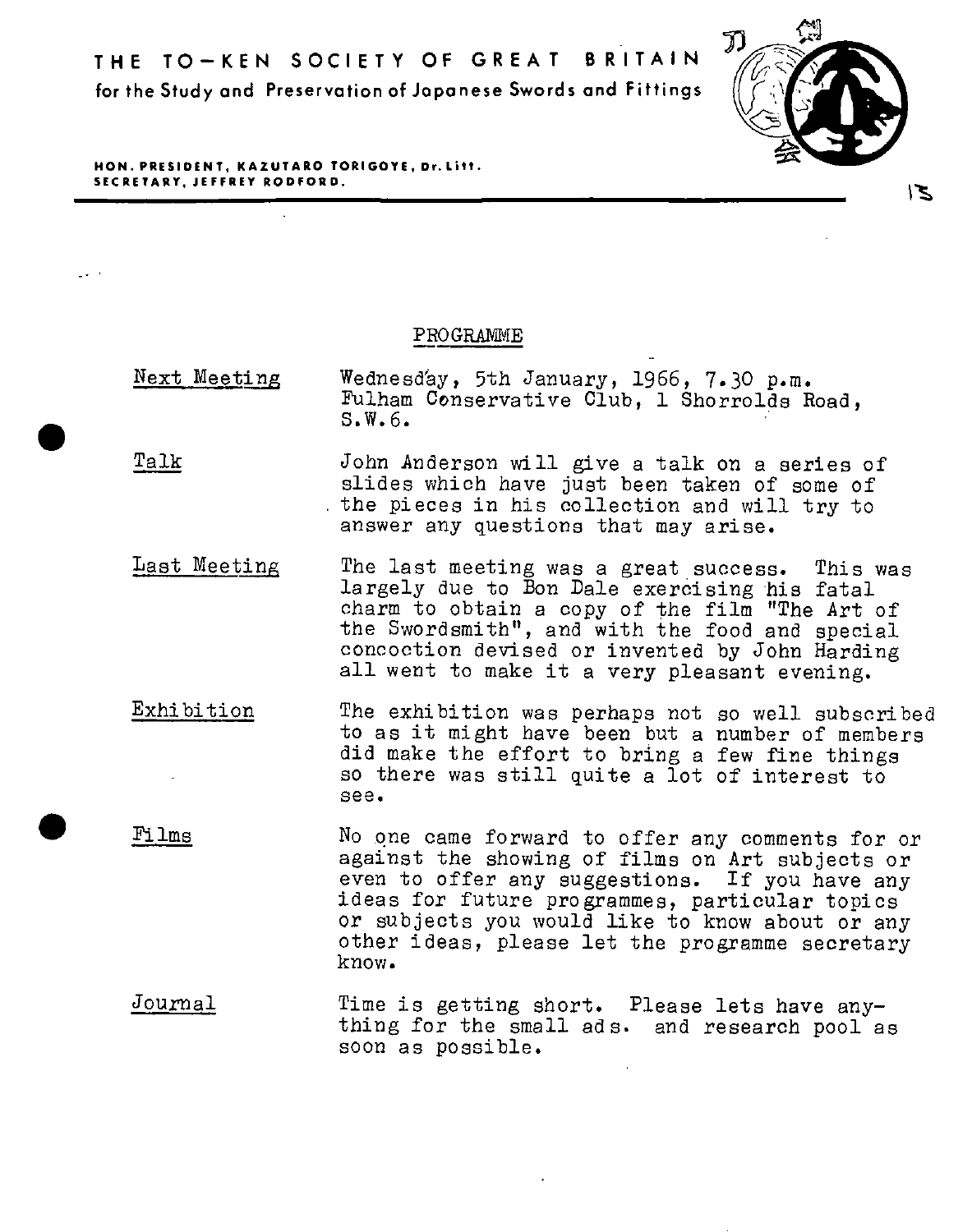

**HON. PRESIDENT, KAZUTARO TORIGOYE, Dr.Litt. SECRETARY, JEFFREY RODFORD.** 

•

•

## PROGRAMME

- Next Meeting Wednesday, 5th January, 1966, 7.30 p.m.<br>Fulham Conservative Club, 1 Shorrolds Road,  $S.W.6$ .
- Talk John Anderson will give a talk on a series of slides which have just been taken of some of the pieces in his collection and will try to answer any questions that may arise.
- Last Meeting The last meeting was a great success. This was largely due to Bon Dale exercising his fatal charm to obtain a copy of the film "The Art of<br>the Swordsmith", and with the food and special concoction devised or invented by John Harding<br>all went to make it a very pleasant evening.
- Exhibition The exhibition was perhaps not so well subscribed to as it might have been but a number of members did make the effort to bring a few fine things so there was still quite a lot of interest to see •
- Films No qne came forward to offer any comments for or against the showing of films on Art subjects or<br>even to offer any suggestions. If you have any ideas for future programmes, particular topics<br>or subjects you would like to know about or any other ideas, please let the programme secretary know.
- Journal Time is getting short. Please lets have any- thing for the small ads. and research pool as soon as possible.

צ'